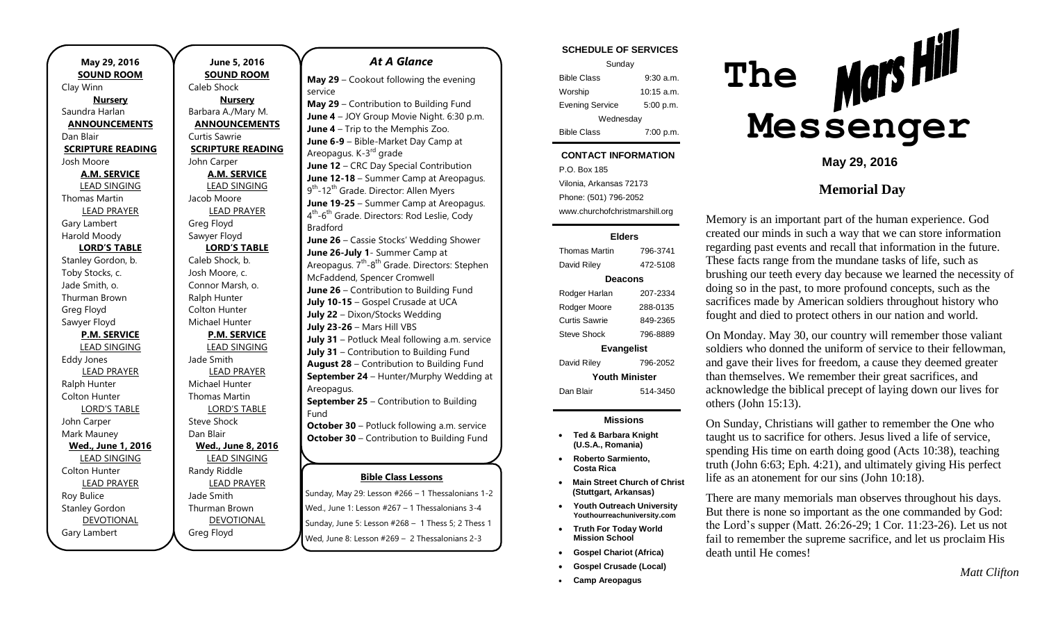**May 29, 2016 SOUND ROOM** Clay Winn **Nursery** Saundra Harlan **ANNOUNCEMENTS** Dan Blair **SCRIPTURE READING** Josh Moore **A.M. SERVICE** LEAD SINGING Thomas Martin LEAD PRAYER Gary Lambert Harold Moody **LORD'S TABLE** Stanley Gordon, b. Toby Stocks, c. Jade Smith, o. Thurman Brown Greg Floyd Sawyer Floyd **P.M. SERVICE** LEAD SINGING Eddy Jones LEAD PRAYER Ralph Hunter Colton Hunter LORD'S TABLE John Carper Mark Mauney **Wed., June 1, 2016** LEAD SINGING Colton Hunter LEAD PRAYER Roy Bulice Stanley Gordon DEVOTIONAL Gary Lambert

**June 5, 2016 SOUND ROOM** Caleb Shock **Nursery** Barbara A./Mary M. **ANNOUNCEMENTS** Curtis Sawrie **SCRIPTURE READING** John Carper **A.M. SERVICE** LEAD SINGING Jacob Moore LEAD PRAYER Greg Floyd Sawyer Floyd **LORD'S TABLE** Caleb Shock, b. Josh Moore, c. Connor Marsh, o. Ralph Hunter Colton Hunter Michael Hunter **P.M. SERVICE** LEAD SINGING Jade Smith LEAD PRAYER Michael Hunter Thomas Martin LORD'S TABLE Steve Shock Dan Blair **Wed., June 8, 2016** LEAD SINGING Randy Riddle LEAD PRAYER Jade Smith Thurman Brown DEVOTIONAL Greg Floyd

### *At A Glance*

**May 29** – Cookout following the evening service

**May 29** – Contribution to Building Fund **June 4** – JOY Group Movie Night. 6:30 p.m. **June 4** – Trip to the Memphis Zoo. **June 6-9** – Bible-Market Day Camp at Areopagus. K-3<sup>rd</sup> grade **June 12** – CRC Day Special Contribution **June 12-18** – Summer Camp at Areopagus. 9<sup>th</sup>-12<sup>th</sup> Grade. Director: Allen Myers **June 19-25** – Summer Camp at Areopagus. 4<sup>th</sup>-6<sup>th</sup> Grade. Directors: Rod Leslie, Cody Bradford **June 26** – Cassie Stocks' Wedding Shower **June 26-July 1**- Summer Camp at Areopagus. 7<sup>th</sup>-8<sup>th</sup> Grade. Directors: Stephen McFaddend, Spencer Cromwell **June 26** – Contribution to Building Fund **July 10-15** – Gospel Crusade at UCA **July 22** – Dixon/Stocks Wedding **July 23-26** – Mars Hill VBS **July 31** – Potluck Meal following a.m. service **July 31** – Contribution to Building Fund

**August 28** – Contribution to Building Fund **September 24** – Hunter/Murphy Wedding at Areopagus.

**September 25** – Contribution to Building Fund

**October 30** – Potluck following a.m. service **October 30** – Contribution to Building Fund

**November 27** – Contribution to Building

#### **Bible Class Lessons**

Sunday, May 29: Lesson #266 - 1 Thessalonians 1-2 Wed., June 1: Lesson #267 – 1 Thessalonians 3-4 Sunday, June 5: Lesson #268 – 1 Thess 5; 2 Thess 1 Wed, June 8: Lesson #269 – 2 Thessalonians 2-3

#### **SCHEDULE OF SERVICES**

| Sunday                 |              |  |
|------------------------|--------------|--|
| <b>Bible Class</b>     | $9:30$ a.m.  |  |
| Worship                | $10:15$ a.m. |  |
| <b>Evening Service</b> | 5:00 p.m.    |  |
| Wednesday              |              |  |
| <b>Bible Class</b>     | 7:00 p.m.    |  |

### **CONTACT INFORMATION**

P.O. Box 185 Vilonia, Arkansas 72173 Phone: (501) 796-2052 www.churchofchristmarshill.org

#### **Elders**

| <b>Thomas Martin</b>  | 796-3741 |  |
|-----------------------|----------|--|
| David Riley           | 472-5108 |  |
| Deacons               |          |  |
| Rodger Harlan         | 207-2334 |  |
| Rodger Moore          | 288-0135 |  |
| Curtis Sawrie         | 849-2365 |  |
| <b>Steve Shock</b>    | 796-8889 |  |
| <b>Evangelist</b>     |          |  |
| David Riley           | 796-2052 |  |
| <b>Youth Minister</b> |          |  |
| Dan Blair             | 514-3450 |  |
|                       |          |  |

### **Missions**

- **Ted & Barbara Knight (U.S.A., Romania)**
- **Roberto Sarmiento, Costa Rica**
- **Main Street Church of Christ (Stuttgart, Arkansas)**
- **Youth Outreach University Youthourreachuniversity.com**
- **Truth For Today World Mission School**
- **Gospel Chariot (Africa)**
- **Gospel Crusade (Local)**
- **Camp Areopagus**



**May 29, 2016**

## **Memorial Day**

Memory is an important part of the human experience. God created our minds in such a way that we can store information regarding past events and recall that information in the future. These facts range from the mundane tasks of life, such as brushing our teeth every day because we learned the necessity of doing so in the past, to more profound concepts, such as the sacrifices made by American soldiers throughout history who fought and died to protect others in our nation and world.

On Monday. May 30, our country will remember those valiant soldiers who donned the uniform of service to their fellowman, and gave their lives for freedom, a cause they deemed greater than themselves. We remember their great sacrifices, and acknowledge the biblical precept of laying down our lives for others (John 15:13).

On Sunday, Christians will gather to remember the One who taught us to sacrifice for others. Jesus lived a life of service, spending His time on earth doing good (Acts 10:38), teaching truth (John 6:63; Eph. 4:21), and ultimately giving His perfect life as an atonement for our sins (John 10:18).

There are many memorials man observes throughout his days. But there is none so important as the one commanded by God: the Lord's supper (Matt. 26:26-29; 1 Cor. 11:23-26). Let us not fail to remember the supreme sacrifice, and let us proclaim His death until He comes!